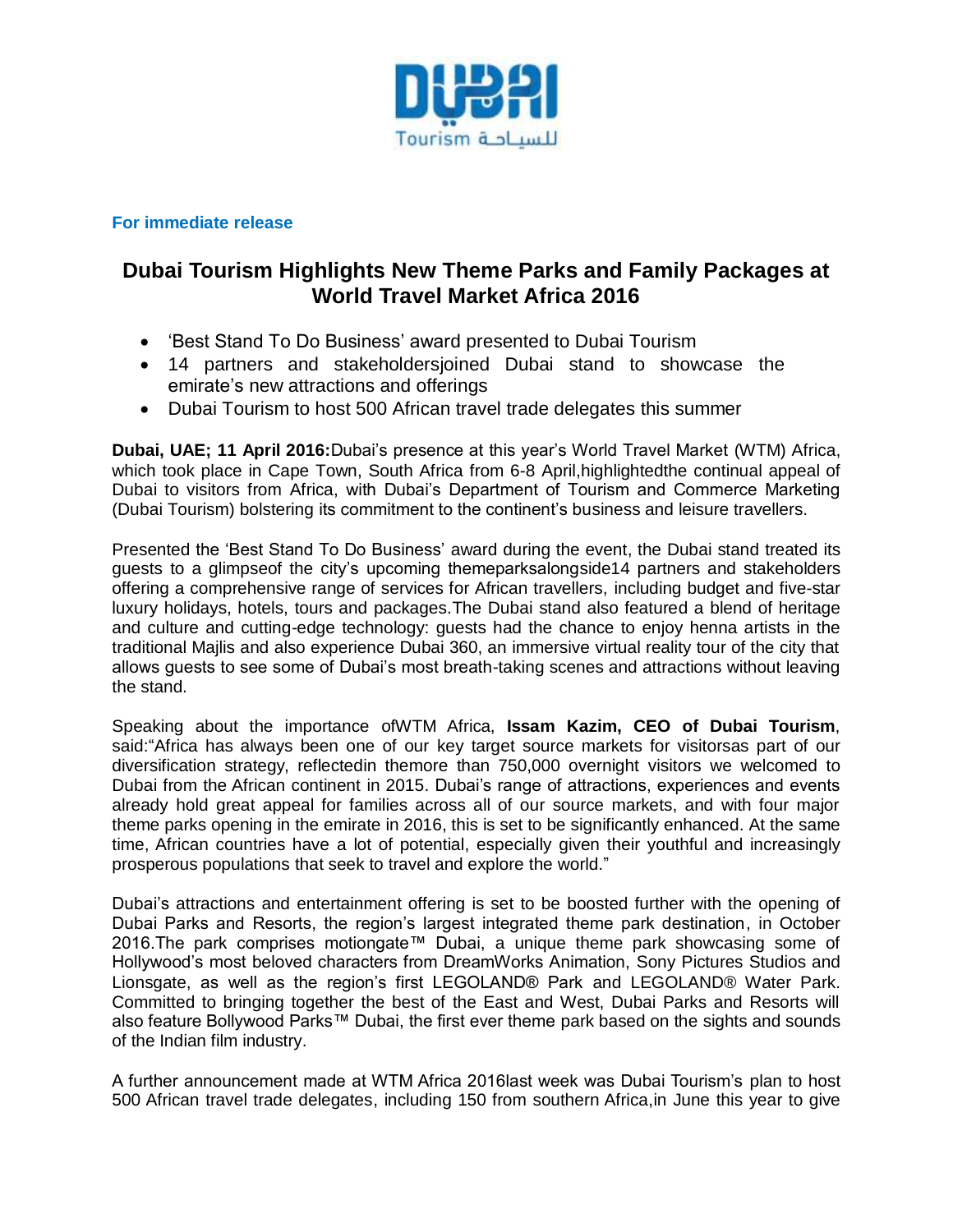

# **For immediate release**

# **Dubai Tourism Highlights New Theme Parks and Family Packages at World Travel Market Africa 2016**

- 'Best Stand To Do Business' award presented to Dubai Tourism
- 14 partners and stakeholdersjoined Dubai stand to showcase the emirate's new attractions and offerings
- Dubai Tourism to host 500 African travel trade delegates this summer

**Dubai, UAE; 11 April 2016:**Dubai"s presence at this year"s World Travel Market (WTM) Africa, which took place in Cape Town, South Africa from 6-8 April,highlightedthe continual appeal of Dubai to visitors from Africa, with Dubai"s Department of Tourism and Commerce Marketing (Dubai Tourism) bolstering its commitment to the continent"s business and leisure travellers.

Presented the "Best Stand To Do Business" award during the event, the Dubai stand treated its guests to a glimpseof the city"s upcoming themeparksalongside14 partners and stakeholders offering a comprehensive range of services for African travellers, including budget and five-star luxury holidays, hotels, tours and packages.The Dubai stand also featured a blend of heritage and culture and cutting-edge technology: guests had the chance to enjoy henna artists in the traditional Majlis and also experience Dubai 360, an immersive virtual reality tour of the city that allows guests to see some of Dubai"s most breath-taking scenes and attractions without leaving the stand.

Speaking about the importance ofWTM Africa, **Issam Kazim, CEO of Dubai Tourism**, said:"Africa has always been one of our key target source markets for visitorsas part of our diversification strategy, reflectedin themore than 750,000 overnight visitors we welcomed to Dubai from the African continent in 2015. Dubai's range of attractions, experiences and events already hold great appeal for families across all of our source markets, and with four major theme parks opening in the emirate in 2016, this is set to be significantly enhanced. At the same time, African countries have a lot of potential, especially given their youthful and increasingly prosperous populations that seek to travel and explore the world."

Dubai"s attractions and entertainment offering is set to be boosted further with the opening of Dubai Parks and Resorts, the region"s largest integrated theme park destination, in October 2016.The park comprises motiongate™ Dubai, a unique theme park showcasing some of Hollywood"s most beloved characters from DreamWorks Animation, Sony Pictures Studios and Lionsgate, as well as the region"s first LEGOLAND® Park and LEGOLAND® Water Park. Committed to bringing together the best of the East and West, Dubai Parks and Resorts will also feature Bollywood Parks™ Dubai, the first ever theme park based on the sights and sounds of the Indian film industry.

A further announcement made at WTM Africa 2016last week was Dubai Tourism"s plan to host 500 African travel trade delegates, including 150 from southern Africa,in June this year to give